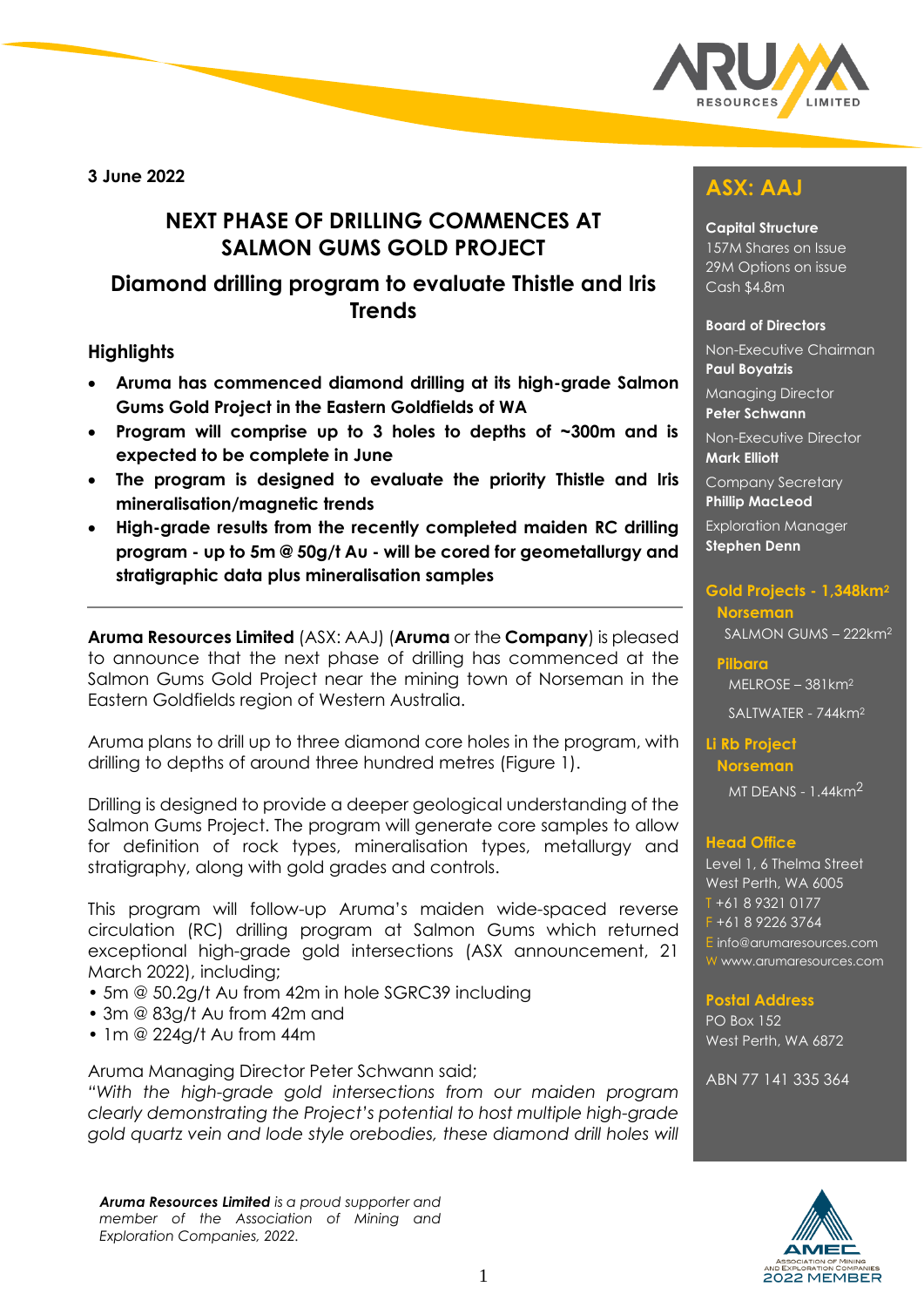

**3 June 2022**

# **NEXT PHASE OF DRILLING COMMENCES AT SALMON GUMS GOLD PROJECT**

## **Diamond drilling program to evaluate Thistle and Iris Trends**

## **Highlights**

- **Aruma has commenced diamond drilling at its high-grade Salmon Gums Gold Project in the Eastern Goldfields of WA**
- **Program will comprise up to 3 holes to depths of ~300m and is expected to be complete in June**
- **The program is designed to evaluate the priority Thistle and Iris mineralisation/magnetic trends**
- **High-grade results from the recently completed maiden RC drilling program - up to 5m @ 50g/t Au - will be cored for geometallurgy and stratigraphic data plus mineralisation samples**

**Aruma Resources Limited** (ASX: AAJ) (**Aruma** or the **Company**) is pleased to announce that the next phase of drilling has commenced at the Salmon Gums Gold Project near the mining town of Norseman in the Eastern Goldfields region of Western Australia.

Aruma plans to drill up to three diamond core holes in the program, with drilling to depths of around three hundred metres (Figure 1).

Drilling is designed to provide a deeper geological understanding of the Salmon Gums Project. The program will generate core samples to allow for definition of rock types, mineralisation types, metallurgy and stratigraphy, along with gold grades and controls.

This program will follow-up Aruma's maiden wide-spaced reverse circulation (RC) drilling program at Salmon Gums which returned exceptional high-grade gold intersections (ASX announcement, 21 March 2022), including;

- 5m @ 50.2g/t Au from 42m in hole SGRC39 including
- 3m @ 83g/t Au from 42m and
- 1m @ 224g/t Au from 44m

Aruma Managing Director Peter Schwann said;

*"With the high-grade gold intersections from our maiden program clearly demonstrating the Project's potential to host multiple high-grade gold quartz vein and lode style orebodies, these diamond drill holes will* 

*Aruma Resources Limited is a proud supporter and member of the Association of Mining and Exploration Companies, 2022.* 

# **ASX: AAJ**

#### **Capital Structure**

157M Shares on Issue 29M Options on issue Cash \$4.8m

#### **Board of Directors**

Non-Executive Chairman **Paul Boyatzis** 

Managing Director **Peter Schwann**

Non-Executive Director **Mark Elliott**

Company Secretary **Phillip MacLeod** 

Exploration Manager **Stephen Denn** 

#### **Gold Projects - 1,348km<sup>2</sup> Norseman**  SALMON GUMS – 222km<sup>2</sup>

**Pilbara**  MELROSE – 381km<sup>2</sup>

SALTWATER - 744km<sup>2</sup>

**Li Rb Project**

**Norseman** MT DEANS - 1.44km2

#### **Head Office**

Level 1, 6 Thelma Street West Perth, WA 6005 T +61 8 9321 0177 F +61 8 9226 3764 E [info@arumaresources.com](mailto:info@arumaresources.com) W www.arumaresources.com

#### **Postal Address**

PO Box 152 West Perth, WA 6872

ABN 77 141 335 364

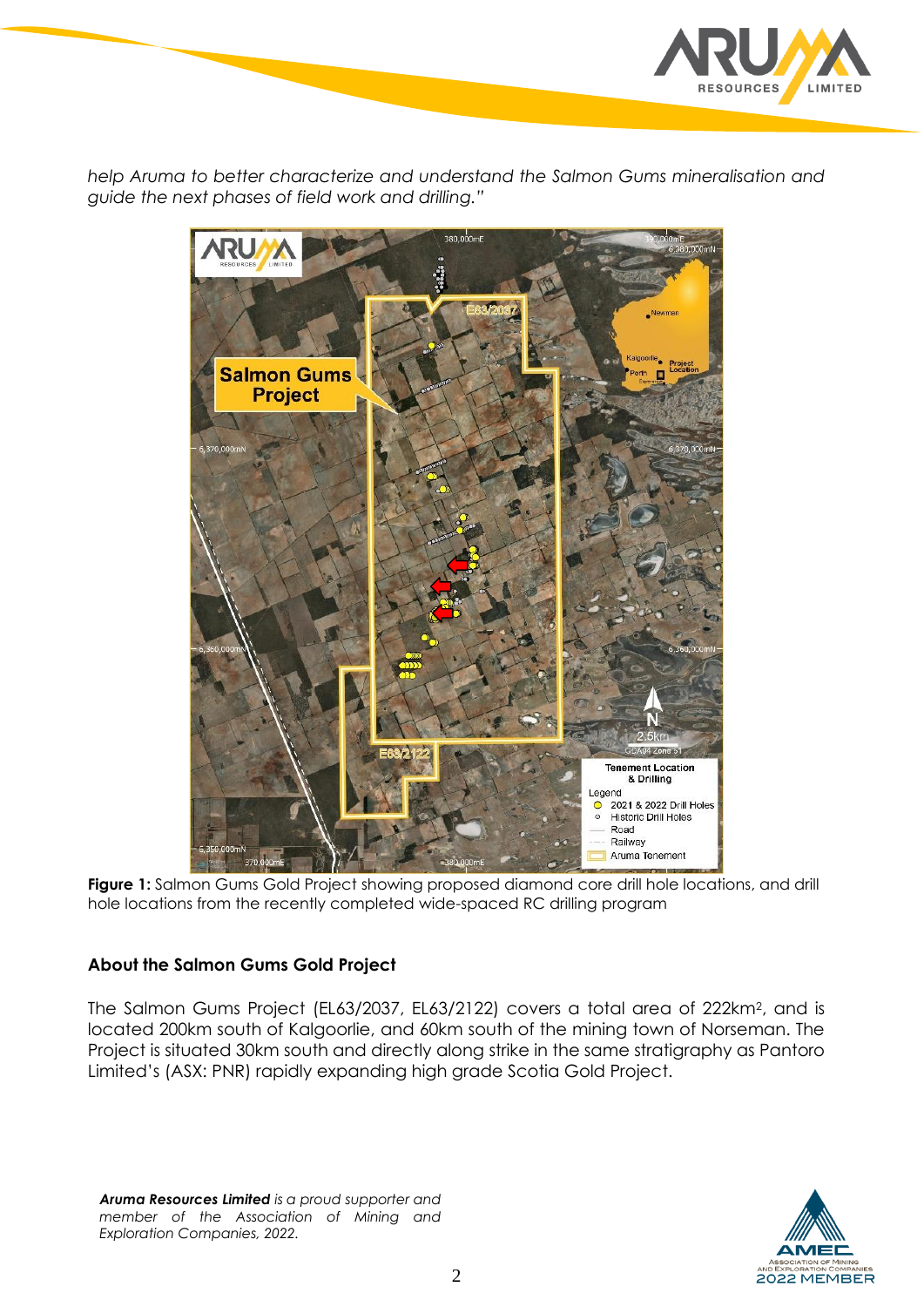

*help Aruma to better characterize and understand the Salmon Gums mineralisation and guide the next phases of field work and drilling."*



Figure 1: Salmon Gums Gold Project showing proposed diamond core drill hole locations, and drill hole locations from the recently completed wide-spaced RC drilling program

## **About the Salmon Gums Gold Project**

The Salmon Gums Project (EL63/2037, EL63/2122) covers a total area of 222km<sup>2</sup> , and is located 200km south of Kalgoorlie, and 60km south of the mining town of Norseman. The Project is situated 30km south and directly along strike in the same stratigraphy as Pantoro Limited's (ASX: PNR) rapidly expanding high grade Scotia Gold Project.

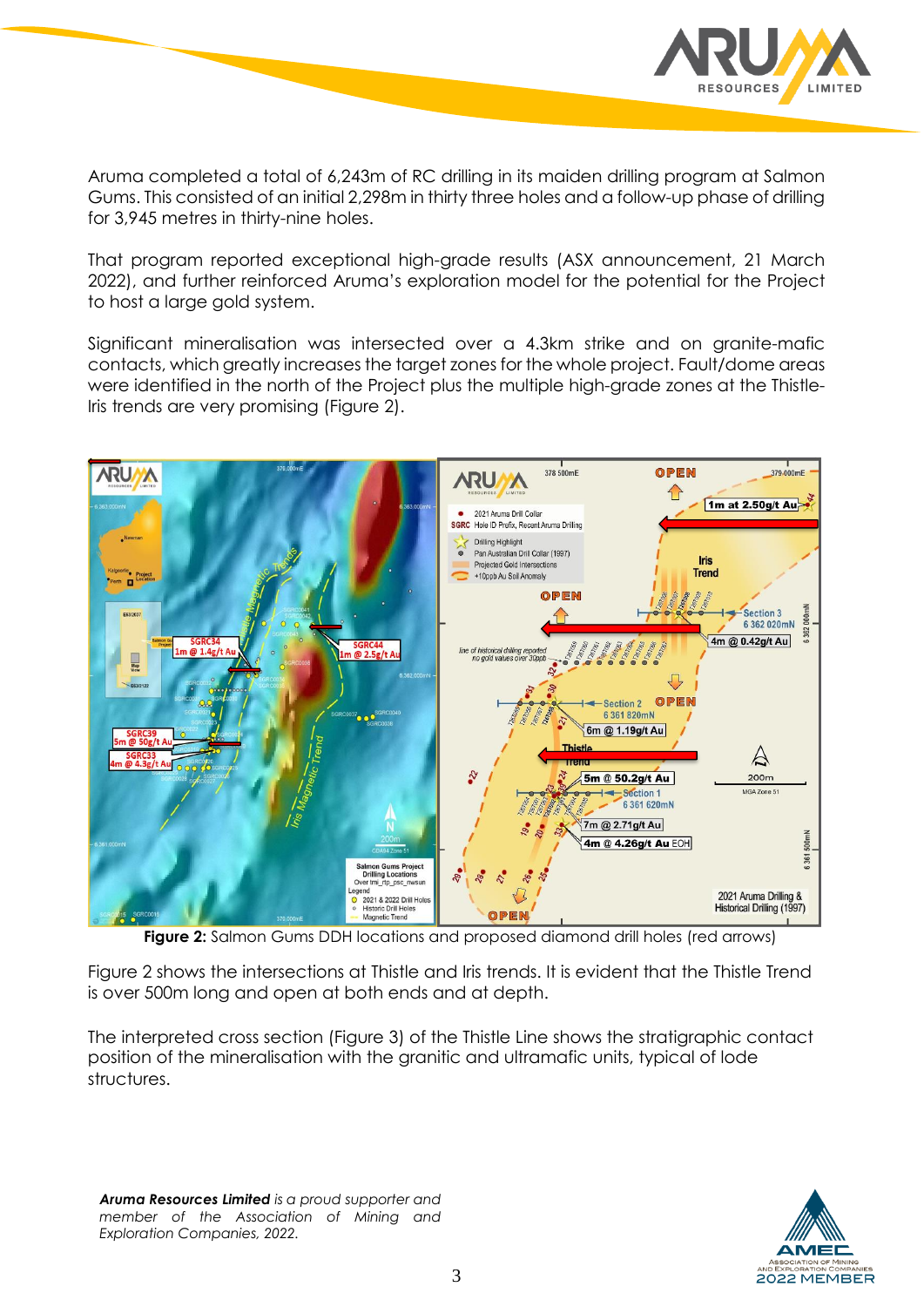

Aruma completed a total of 6,243m of RC drilling in its maiden drilling program at Salmon Gums. This consisted of an initial 2,298m in thirty three holes and a follow-up phase of drilling for 3,945 metres in thirty-nine holes.

That program reported exceptional high-grade results (ASX announcement, 21 March 2022), and further reinforced Aruma's exploration model for the potential for the Project to host a large gold system.

Significant mineralisation was intersected over a 4.3km strike and on granite-mafic contacts, which greatly increases the target zones for the whole project. Fault/dome areas were identified in the north of the Project plus the multiple high-grade zones at the Thistle-Iris trends are very promising (Figure 2).



**Figure 2:** Salmon Gums DDH locations and proposed diamond drill holes (red arrows)

Figure 2 shows the intersections at Thistle and Iris trends. It is evident that the Thistle Trend is over 500m long and open at both ends and at depth.

The interpreted cross section (Figure 3) of the Thistle Line shows the stratigraphic contact position of the mineralisation with the granitic and ultramafic units, typical of lode structures.

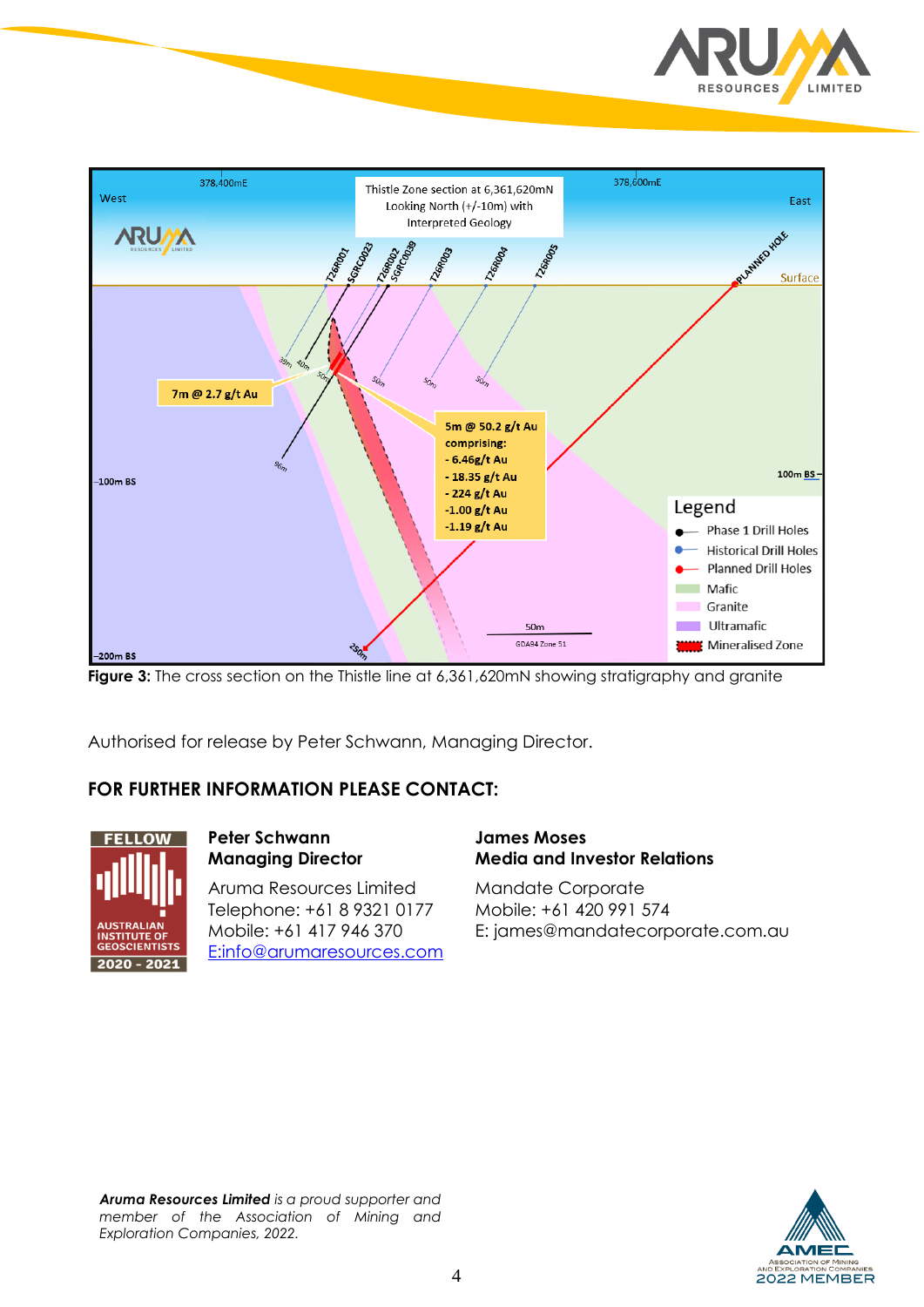



**Figure 3:** The cross section on the Thistle line at 6,361,620mN showing stratigraphy and granite

Authorised for release by Peter Schwann, Managing Director.

## **FOR FURTHER INFORMATION PLEASE CONTACT:**



## **Peter Schwann Managing Director**

Aruma Resources Limited Telephone: +61 8 9321 0177 Mobile: +61 417 946 370 E[:info@arumaresources.com](mailto:info@arumaresources.com)

#### **James Moses Media and Investor Relations**

Mandate Corporate Mobile: +61 420 991 574 E: james@mandatecorporate.com.au